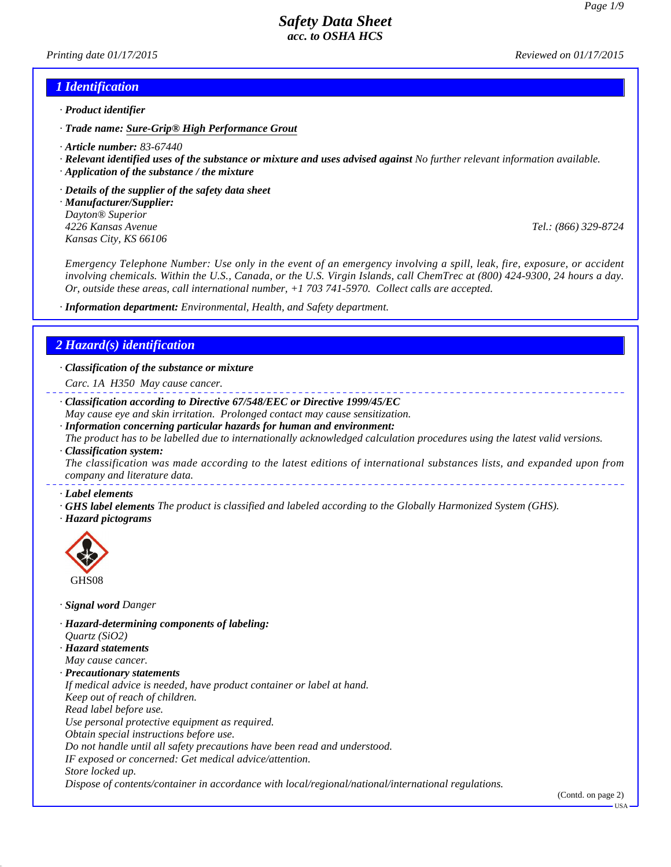*Printing date 01/17/2015 Reviewed on 01/17/2015*

### *1 Identification*

- *· Product identifier*
- *· Trade name: Sure-Grip® High Performance Grout*
- *· Article number: 83-67440*
- *· Relevant identified uses of the substance or mixture and uses advised against No further relevant information available.*
- *· Application of the substance / the mixture*
- *· Details of the supplier of the safety data sheet*
- *· Manufacturer/Supplier: Dayton® Superior 4226 Kansas Avenue Tel.: (866) 329-8724 Kansas City, KS 66106*

*Emergency Telephone Number: Use only in the event of an emergency involving a spill, leak, fire, exposure, or accident involving chemicals. Within the U.S., Canada, or the U.S. Virgin Islands, call ChemTrec at (800) 424-9300, 24 hours a day. Or, outside these areas, call international number, +1 703 741-5970. Collect calls are accepted.*

*· Information department: Environmental, Health, and Safety department.*

### *2 Hazard(s) identification*

*· Classification of the substance or mixture*

- *Carc. 1A H350 May cause cancer.*
- *· Classification according to Directive 67/548/EEC or Directive 1999/45/EC May cause eye and skin irritation. Prolonged contact may cause sensitization.*
- *· Information concerning particular hazards for human and environment: The product has to be labelled due to internationally acknowledged calculation procedures using the latest valid versions.*
- *· Classification system: The classification was made according to the latest editions of international substances lists, and expanded upon from company and literature data.*
- *· Label elements*
- *· GHS label elements The product is classified and labeled according to the Globally Harmonized System (GHS).*
- *· Hazard pictograms*



- *· Signal word Danger*
- *· Hazard-determining components of labeling: Quartz (SiO2)*
- *· Hazard statements May cause cancer.*
- *· Precautionary statements*

*If medical advice is needed, have product container or label at hand.*

- *Keep out of reach of children.*
- *Read label before use.*
- *Use personal protective equipment as required.*
- *Obtain special instructions before use.*
- *Do not handle until all safety precautions have been read and understood.*
- *IF exposed or concerned: Get medical advice/attention.*
- *Store locked up.*

*Dispose of contents/container in accordance with local/regional/national/international regulations.*

(Contd. on page 2)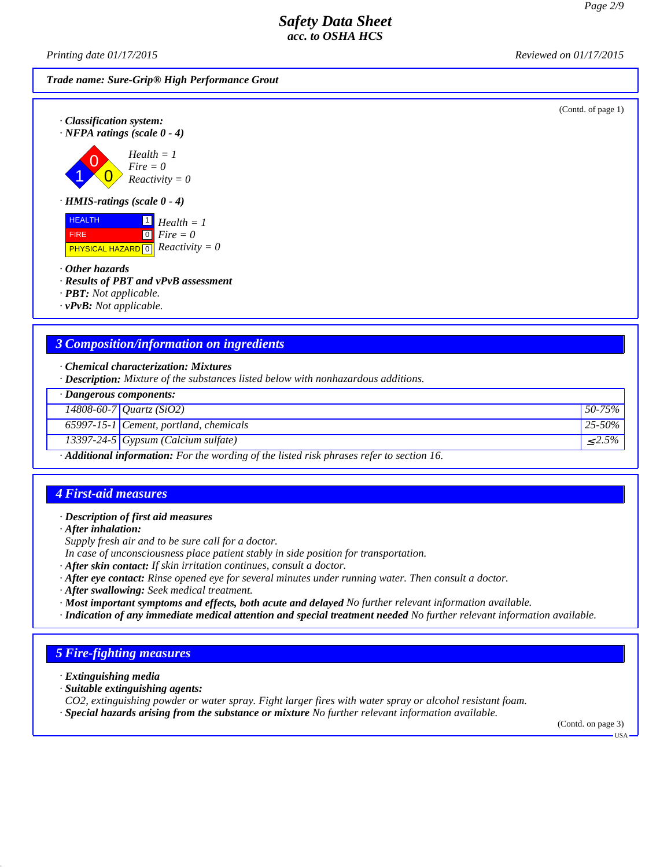*Printing date 01/17/2015 Reviewed on 01/17/2015*

*Trade name: Sure-Grip® High Performance Grout*

(Contd. of page 1)



1 0  $\overline{0}$ *Health = 1 Fire = 0 Reactivity = 0*

*· HMIS-ratings (scale 0 - 4)*

**HEALTH**  FIRE **PHYSICAL HAZARD 0** 1 *Health = 1*  $\boxed{0}$ *Fire = 0 Reactivity = 0*

*· Other hazards*

*· Results of PBT and vPvB assessment*

*· PBT: Not applicable.*

*· vPvB: Not applicable.*

### *3 Composition/information on ingredients*

*· Chemical characterization: Mixtures*

*· Description: Mixture of the substances listed below with nonhazardous additions.*

| · Dangerous components:                                                                                |                                          |                         |
|--------------------------------------------------------------------------------------------------------|------------------------------------------|-------------------------|
|                                                                                                        | 14808-60-7 Quartz (SiO2)                 | $50-75\%$               |
|                                                                                                        | $65997-15-1$ Cement, portland, chemicals | $ 25-50\% $             |
|                                                                                                        | $13397-24-5$ Gypsum (Calcium sulfate)    | $\langle 2.5\% \rangle$ |
| $\cdot$ <b>Additional information:</b> For the wording of the listed risk phrases refer to section 16. |                                          |                         |

### *4 First-aid measures*

*· Description of first aid measures*

*· After inhalation:*

*Supply fresh air and to be sure call for a doctor.*

*In case of unconsciousness place patient stably in side position for transportation.*

- *· After skin contact: If skin irritation continues, consult a doctor.*
- *· After eye contact: Rinse opened eye for several minutes under running water. Then consult a doctor.*
- *· After swallowing: Seek medical treatment.*
- *· Most important symptoms and effects, both acute and delayed No further relevant information available.*
- *· Indication of any immediate medical attention and special treatment needed No further relevant information available.*

# *5 Fire-fighting measures*

*· Extinguishing media*

- *· Suitable extinguishing agents:*
- *CO2, extinguishing powder or water spray. Fight larger fires with water spray or alcohol resistant foam.*
- *· Special hazards arising from the substance or mixture No further relevant information available.*

(Contd. on page 3)

USA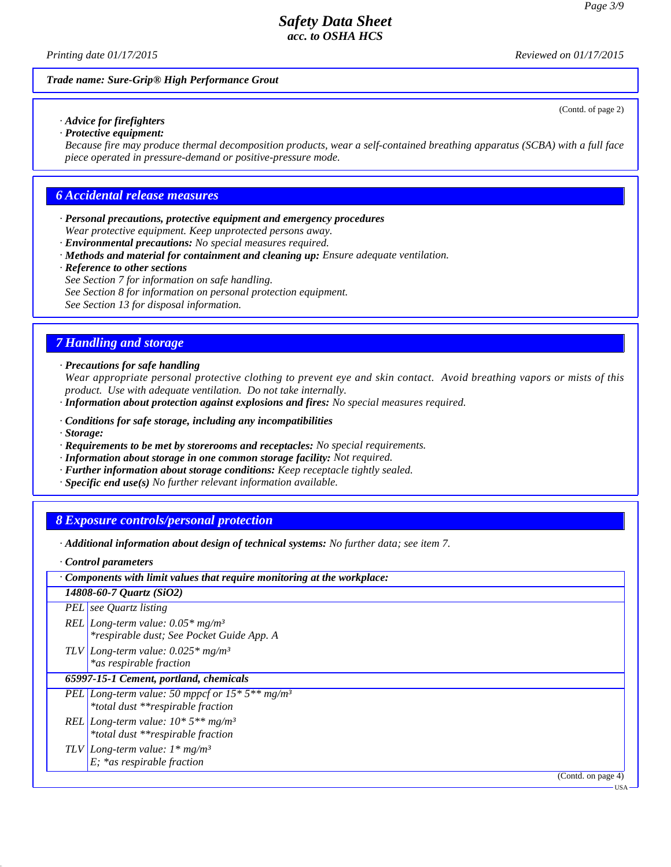*Printing date 01/17/2015 Reviewed on 01/17/2015*

(Contd. of page 2)

#### *Trade name: Sure-Grip® High Performance Grout*

#### *· Advice for firefighters · Protective equipment:*

*Because fire may produce thermal decomposition products, wear a self-contained breathing apparatus (SCBA) with a full face piece operated in pressure-demand or positive-pressure mode.*

### *6 Accidental release measures*

- *· Personal precautions, protective equipment and emergency procedures Wear protective equipment. Keep unprotected persons away.*
- *· Environmental precautions: No special measures required.*
- *· Methods and material for containment and cleaning up: Ensure adequate ventilation.*
- *· Reference to other sections*

*See Section 7 for information on safe handling.*

*See Section 8 for information on personal protection equipment.*

*See Section 13 for disposal information.*

### *7 Handling and storage*

*· Precautions for safe handling*

*Wear appropriate personal protective clothing to prevent eye and skin contact. Avoid breathing vapors or mists of this product. Use with adequate ventilation. Do not take internally.*

- *· Information about protection against explosions and fires: No special measures required.*
- *· Conditions for safe storage, including any incompatibilities*
- *· Storage:*
- *· Requirements to be met by storerooms and receptacles: No special requirements.*
- *· Information about storage in one common storage facility: Not required.*
- *· Further information about storage conditions: Keep receptacle tightly sealed.*
- *· Specific end use(s) No further relevant information available.*

### *8 Exposure controls/personal protection*

- *· Additional information about design of technical systems: No further data; see item 7.*
- *· Control parameters*

| Components with limit values that require monitoring at the workplace:                             |  |
|----------------------------------------------------------------------------------------------------|--|
| 14808-60-7 Quartz (SiO2)                                                                           |  |
| <b>PEL</b> see Quartz listing                                                                      |  |
| REL Long-term value: $0.05*$ mg/m <sup>3</sup><br>*respirable dust; See Pocket Guide App. A        |  |
| TLV Long-term value: $0.025*$ mg/m <sup>3</sup><br>*as respirable fraction                         |  |
| 65997-15-1 Cement, portland, chemicals                                                             |  |
| PEL Long-term value: 50 mppcf or $15 * 5**$ mg/m <sup>3</sup><br>*total dust **respirable fraction |  |
| REL Long-term value: $10*5**mg/m^3$<br>*total dust **respirable fraction                           |  |
| TLV Long-term value: $1 * mg/m^3$<br>$E$ ; *as respirable fraction                                 |  |
| (Contd. on page 4)                                                                                 |  |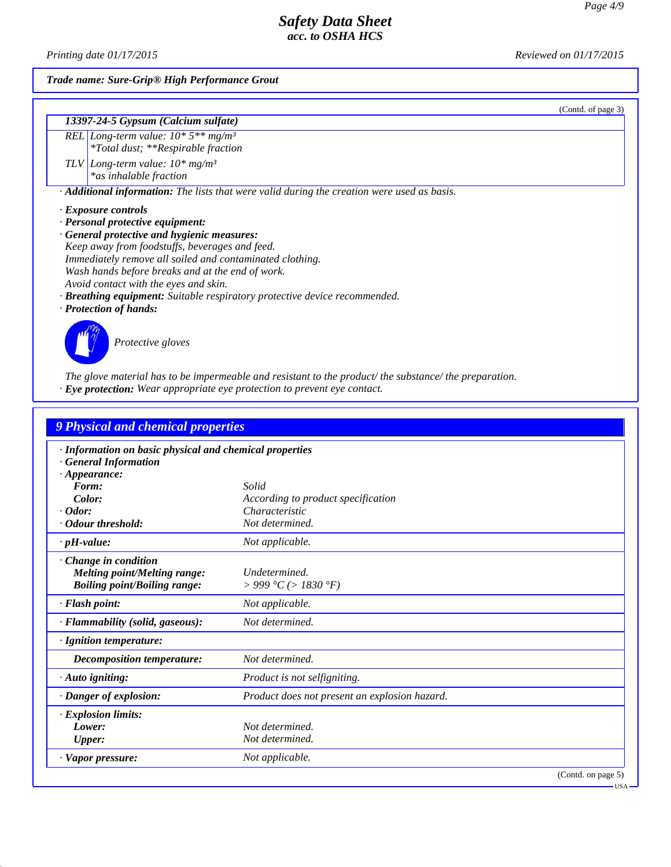(Contd. of page 3)

USA

# *Safety Data Sheet acc. to OSHA HCS*

*Printing date 01/17/2015 Reviewed on 01/17/2015*

*Trade name: Sure-Grip® High Performance Grout*

#### *13397-24-5 Gypsum (Calcium sulfate)*

*REL Long-term value: 10\* 5\*\* mg/m³ \*Total dust; \*\*Respirable fraction TLV Long-term value: 10\* mg/m³*

*\*as inhalable fraction*

*· Additional information: The lists that were valid during the creation were used as basis.*

*· Exposure controls*

*· Personal protective equipment:*

*· General protective and hygienic measures: Keep away from foodstuffs, beverages and feed. Immediately remove all soiled and contaminated clothing. Wash hands before breaks and at the end of work. Avoid contact with the eyes and skin.*

*· Breathing equipment: Suitable respiratory protective device recommended.*

*· Protection of hands:*



*Protective gloves*

*The glove material has to be impermeable and resistant to the product/ the substance/ the preparation.*

*· Eye protection: Wear appropriate eye protection to prevent eye contact.*

| 9 Physical and chemical properties                                                                |                                               |
|---------------------------------------------------------------------------------------------------|-----------------------------------------------|
| · Information on basic physical and chemical properties<br><b>General Information</b>             |                                               |
| $\cdot$ Appearance:<br>Form:                                                                      | Solid                                         |
| Color:                                                                                            | According to product specification            |
| $\cdot$ Odor:                                                                                     | Characteristic                                |
| · Odour threshold:                                                                                | Not determined.                               |
| $\cdot$ pH-value:                                                                                 | Not applicable.                               |
| Change in condition<br><b>Melting point/Melting range:</b><br><b>Boiling point/Boiling range:</b> | Undetermined.<br>> 999 °C (> 1830 °F)         |
| · Flash point:                                                                                    | Not applicable.                               |
| · Flammability (solid, gaseous):                                                                  | Not determined.                               |
| · Ignition temperature:                                                                           |                                               |
| <b>Decomposition temperature:</b>                                                                 | Not determined.                               |
| · Auto igniting:                                                                                  | Product is not selfigniting.                  |
| · Danger of explosion:                                                                            | Product does not present an explosion hazard. |
| · Explosion limits:                                                                               |                                               |
| Lower:                                                                                            | Not determined.                               |
| <b>Upper:</b>                                                                                     | Not determined.                               |
| $\cdot$ Vapor pressure:                                                                           | Not applicable.                               |
|                                                                                                   | (Contd. on page 5)                            |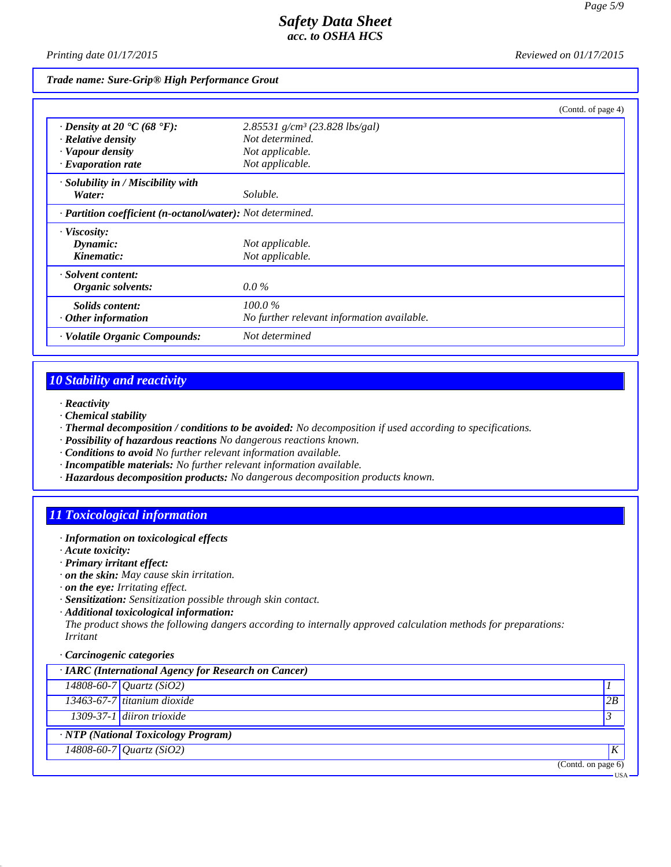*Printing date 01/17/2015 Reviewed on 01/17/2015*

*Trade name: Sure-Grip® High Performance Grout*

|                                                            |                                              | (Contd. of page 4) |
|------------------------------------------------------------|----------------------------------------------|--------------------|
| $\cdot$ Density at 20 $\cdot$ C (68 $\cdot$ F):            | $2.85531$ g/cm <sup>3</sup> (23.828 lbs/gal) |                    |
| $\cdot$ Relative density                                   | Not determined.                              |                    |
| · Vapour density                                           | Not applicable.                              |                    |
| $\cdot$ Evaporation rate                                   | Not applicable.                              |                    |
| · Solubility in / Miscibility with                         |                                              |                    |
| Water:                                                     | Soluble.                                     |                    |
| · Partition coefficient (n-octanol/water): Not determined. |                                              |                    |
| · Viscosity:                                               |                                              |                    |
| Dynamic:                                                   | Not applicable.                              |                    |
| Kinematic:                                                 | Not applicable.                              |                    |
| · Solvent content:                                         |                                              |                    |
| Organic solvents:                                          | $0.0\%$                                      |                    |
| <i>Solids content:</i>                                     | 100.0%                                       |                    |
| $\cdot$ Other information                                  | No further relevant information available.   |                    |
| · Volatile Organic Compounds:                              | Not determined                               |                    |

# *10 Stability and reactivity*

- *· Reactivity*
- *· Chemical stability*
- *· Thermal decomposition / conditions to be avoided: No decomposition if used according to specifications.*
- *· Possibility of hazardous reactions No dangerous reactions known.*
- *· Conditions to avoid No further relevant information available.*
- *· Incompatible materials: No further relevant information available.*
- *· Hazardous decomposition products: No dangerous decomposition products known.*

# *11 Toxicological information*

- *· Information on toxicological effects*
- *· Acute toxicity:*
- *· Primary irritant effect:*
- *· on the skin: May cause skin irritation.*
- *· on the eye: Irritating effect.*
- *· Sensitization: Sensitization possible through skin contact.*
- *· Additional toxicological information:*

*The product shows the following dangers according to internally approved calculation methods for preparations: Irritant*

*· Carcinogenic categories*

| · IARC (International Agency for Research on Cancer) |                    |       |
|------------------------------------------------------|--------------------|-------|
| $14808 - 60 - 7$ <i>Quartz</i> (SiO2)                |                    |       |
| 13463-67-7 titanium dioxide                          | 2B                 |       |
| 1309-37-1 diiron trioxide                            | $\mathfrak{Z}$     |       |
| · NTP (National Toxicology Program)                  |                    |       |
| $\sqrt{14808 - 60 - 7}$ Quartz (SiO2)                | $\boldsymbol{K}$   |       |
|                                                      | (Contd. on page 6) |       |
|                                                      |                    | · USA |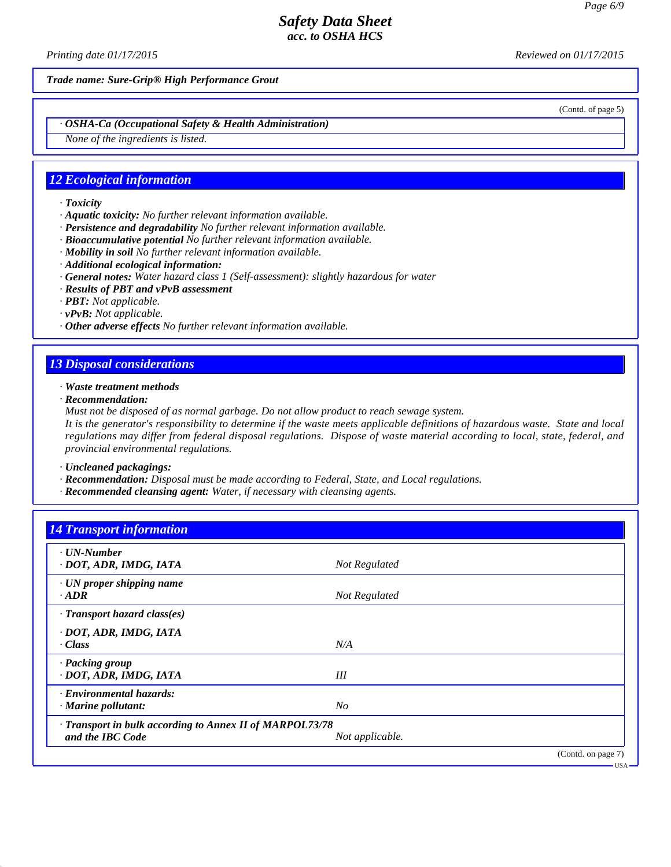*Printing date 01/17/2015 Reviewed on 01/17/2015*

*Trade name: Sure-Grip® High Performance Grout*

(Contd. of page 5)

*· OSHA-Ca (Occupational Safety & Health Administration)*

*None of the ingredients is listed.*

### *12 Ecological information*

- *· Toxicity*
- *· Aquatic toxicity: No further relevant information available.*
- *· Persistence and degradability No further relevant information available.*
- *· Bioaccumulative potential No further relevant information available.*
- *· Mobility in soil No further relevant information available.*
- *· Additional ecological information:*
- *· General notes: Water hazard class 1 (Self-assessment): slightly hazardous for water*
- *· Results of PBT and vPvB assessment*
- *· PBT: Not applicable.*
- *· vPvB: Not applicable.*
- *· Other adverse effects No further relevant information available.*

## *13 Disposal considerations*

- *· Waste treatment methods*
- *· Recommendation:*
- *Must not be disposed of as normal garbage. Do not allow product to reach sewage system.*

*It is the generator's responsibility to determine if the waste meets applicable definitions of hazardous waste. State and local regulations may differ from federal disposal regulations. Dispose of waste material according to local, state, federal, and provincial environmental regulations.*

*· Uncleaned packagings:*

- *· Recommendation: Disposal must be made according to Federal, State, and Local regulations.*
- *· Recommended cleansing agent: Water, if necessary with cleansing agents.*

| <b>14 Transport information</b>                          |                 |                    |
|----------------------------------------------------------|-----------------|--------------------|
| $\cdot$ UN-Number<br>· DOT, ADR, IMDG, IATA              | Not Regulated   |                    |
| $\cdot$ UN proper shipping name                          |                 |                    |
| $\cdot$ ADR                                              | Not Regulated   |                    |
| $\cdot$ Transport hazard class(es)                       |                 |                    |
| · DOT, ADR, IMDG, IATA                                   |                 |                    |
| · Class                                                  | N/A             |                    |
| · Packing group                                          |                 |                    |
| · DOT, ADR, IMDG, IATA                                   | III             |                    |
| · Environmental hazards:                                 |                 |                    |
| · Marine pollutant:                                      | N <sub>O</sub>  |                    |
| · Transport in bulk according to Annex II of MARPOL73/78 |                 |                    |
| and the IBC Code                                         | Not applicable. |                    |
|                                                          |                 | (Contd. on page 7) |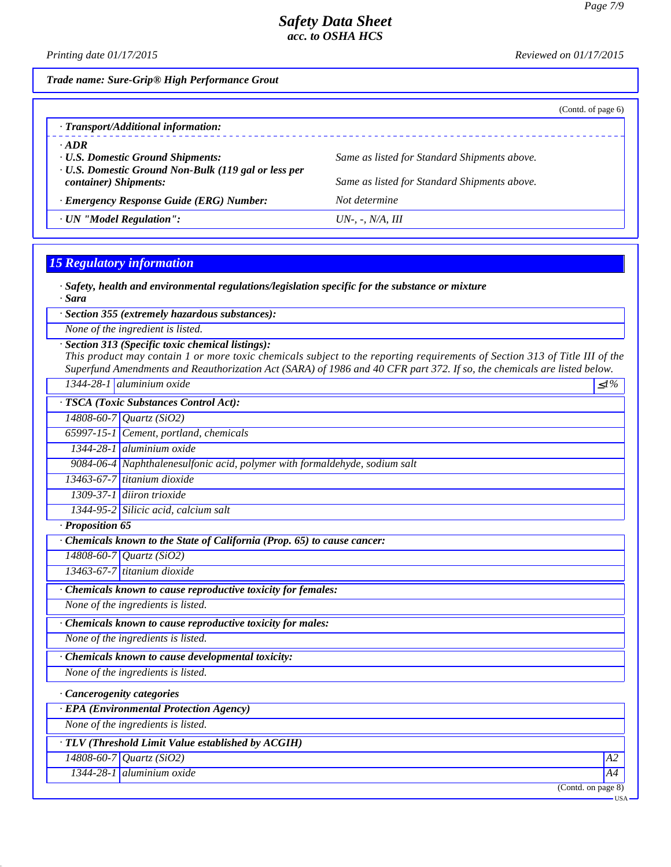*Printing date 01/17/2015 Reviewed on 01/17/2015*

*Trade name: Sure-Grip® High Performance Grout*

|                                                                                                                                          |                                                                                              | (Cond. of page 6) |
|------------------------------------------------------------------------------------------------------------------------------------------|----------------------------------------------------------------------------------------------|-------------------|
| · Transport/Additional information:                                                                                                      |                                                                                              |                   |
| $\cdot$ ADR<br><b>· U.S. Domestic Ground Shipments:</b><br>· U.S. Domestic Ground Non-Bulk (119 gal or less per<br>container) Shipments: | Same as listed for Standard Shipments above.<br>Same as listed for Standard Shipments above. |                   |
| · Emergency Response Guide (ERG) Number:                                                                                                 | Not determine                                                                                |                   |
| · UN "Model Regulation":                                                                                                                 | $UN$ -. -. $N/A$ . III                                                                       |                   |

# *15 Regulatory information*

*· Safety, health and environmental regulations/legislation specific for the substance or mixture*

*· Sara*

*· Section 355 (extremely hazardous substances):*

*None of the ingredient is listed.*

*· Section 313 (Specific toxic chemical listings):*

*This product may contain 1 or more toxic chemicals subject to the reporting requirements of Section 313 of Title III of the Superfund Amendments and Reauthorization Act (SARA) of 1986 and 40 CFR part 372. If so, the chemicals are listed below.*

|                | 1344-28-1 aluminium oxide                                                  | $\leq l\%$        |
|----------------|----------------------------------------------------------------------------|-------------------|
|                | · TSCA (Toxic Substances Control Act):                                     |                   |
|                | 14808-60-7 Quartz (SiO2)                                                   |                   |
|                | 65997-15-1 Cement, portland, chemicals                                     |                   |
|                | 1344-28-1 aluminium oxide                                                  |                   |
|                | 9084-06-4 Naphthalenesulfonic acid, polymer with formaldehyde, sodium salt |                   |
|                | $13463-67-7$ titanium dioxide                                              |                   |
|                | 1309-37-1 diiron trioxide                                                  |                   |
|                | 1344-95-2 Silicic acid, calcium salt                                       |                   |
| Proposition 65 |                                                                            |                   |
|                | Chemicals known to the State of California (Prop. 65) to cause cancer:     |                   |
|                | 14808-60-7 Quartz (SiO2)                                                   |                   |
|                | $13463-67-7$ titanium dioxide                                              |                   |
|                | · Chemicals known to cause reproductive toxicity for females:              |                   |
|                | None of the ingredients is listed.                                         |                   |
|                | · Chemicals known to cause reproductive toxicity for males:                |                   |
|                | None of the ingredients is listed.                                         |                   |
|                | · Chemicals known to cause developmental toxicity:                         |                   |
|                | None of the ingredients is listed.                                         |                   |
|                | · Cancerogenity categories                                                 |                   |
|                | · EPA (Environmental Protection Agency)                                    |                   |
|                | None of the ingredients is listed.                                         |                   |
|                | · TLV (Threshold Limit Value established by ACGIH)                         |                   |
|                | $14808 - 60 - 7$ Quartz (SiO2)                                             | A2                |
|                | 1344-28-1 aluminium oxide                                                  | A4                |
|                |                                                                            | (Cond. on page 8) |
|                |                                                                            | · USA             |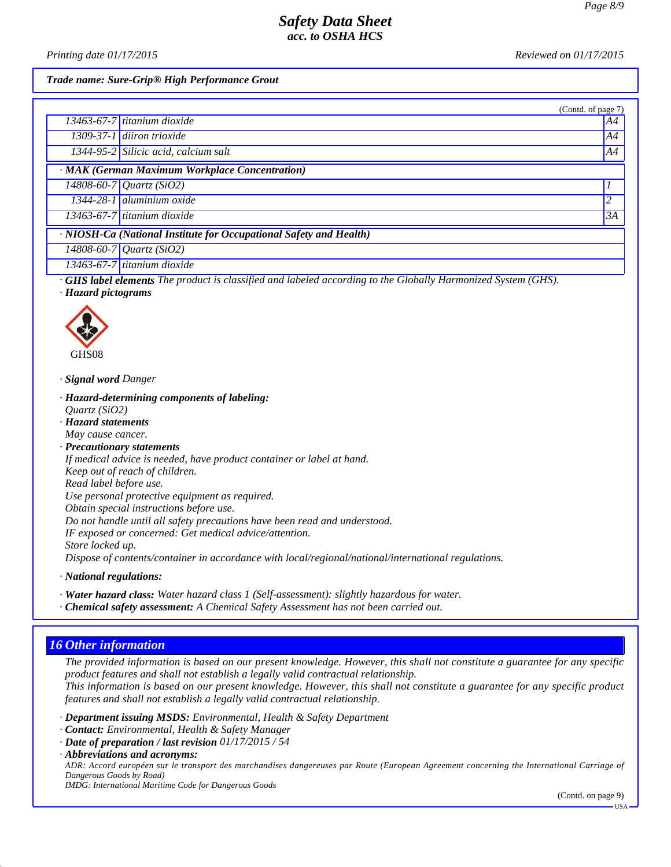*Printing date 01/17/2015 Reviewed on 01/17/2015*

(Contd. of page 7)

*Trade name: Sure-Grip® High Performance Grout*

|                                                | (Contd. of page) |
|------------------------------------------------|------------------|
| 13463-67-7 titanium dioxide                    | A4               |
| 1309-37-1 diiron trioxide                      | A4               |
| 1344-95-2 Silicic acid, calcium salt           | A4               |
| · MAK (German Maximum Workplace Concentration) |                  |
| $14808 - 60 - 7$ Quartz (SiO2)                 |                  |
| 1344-28-1 aluminium oxide                      |                  |
| $13463-67-7$ titanium dioxide                  | 3A               |

*· NIOSH-Ca (National Institute for Occupational Safety and Health)*

*14808-60-7 Quartz (SiO2) 13463-67-7 titanium dioxide*

*· GHS label elements The product is classified and labeled according to the Globally Harmonized System (GHS).*

*· Hazard pictograms*



GHS08

- *· Signal word Danger*
- *· Hazard-determining components of labeling: Quartz (SiO2)*
- *· Hazard statements*

*May cause cancer.*

*· Precautionary statements If medical advice is needed, have product container or label at hand. Keep out of reach of children. Read label before use. Use personal protective equipment as required. Obtain special instructions before use. Do not handle until all safety precautions have been read and understood. IF exposed or concerned: Get medical advice/attention. Store locked up. Dispose of contents/container in accordance with local/regional/national/international regulations.*

*· National regulations:*

- *· Water hazard class: Water hazard class 1 (Self-assessment): slightly hazardous for water.*
- *· Chemical safety assessment: A Chemical Safety Assessment has not been carried out.*

# *16 Other information*

*The provided information is based on our present knowledge. However, this shall not constitute a guarantee for any specific product features and shall not establish a legally valid contractual relationship. This information is based on our present knowledge. However, this shall not constitute a guarantee for any specific product features and shall not establish a legally valid contractual relationship.*

*· Department issuing MSDS: Environmental, Health & Safety Department*

- *· Contact: Environmental, Health & Safety Manager*
- *· Date of preparation / last revision 01/17/2015 / 54*

*· Abbreviations and acronyms:*

*ADR: Accord européen sur le transport des marchandises dangereuses par Route (European Agreement concerning the International Carriage of Dangerous Goods by Road)*

*IMDG: International Maritime Code for Dangerous Goods*

(Contd. on page 9)

USA